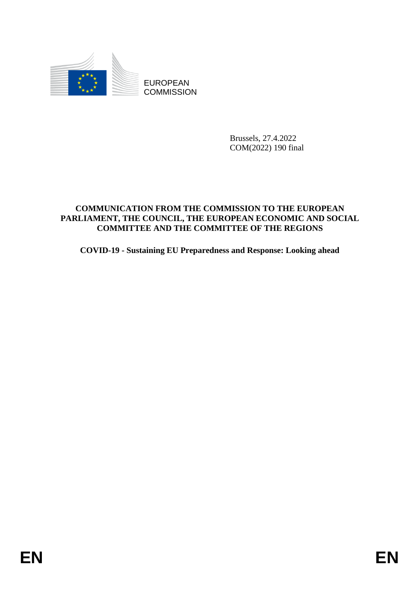

**COMMISSION** 

Brussels, 27.4.2022 COM(2022) 190 final

# EUROPEAN<br>
EDISOR COMMISSION<br>
ENGAGESION<br>
ENGAGESION<br>
COMMISSION<br>
FRAELAMENT, THE COLORES SEND TO THE EUROPEAN<br>
PARLIAMENT, THE CONSTRUCTION CONDITION<br>
COVID-19 - Sustaining EU Preparedness and Response: Looking ahead<br> **ENE COMMUNICATION FROM THE COMMISSION TO THE EUROPEAN PARLIAMENT, THE COUNCIL, THE EUROPEAN ECONOMIC AND SOCIAL COMMITTEE AND THE COMMITTEE OF THE REGIONS**

**COVID-19 - Sustaining EU Preparedness and Response: Looking ahead**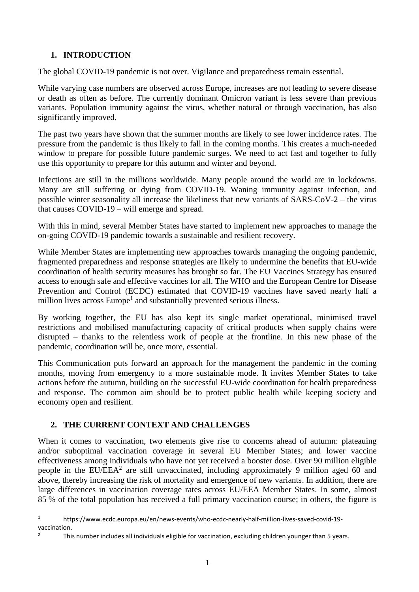# **1. INTRODUCTION**

The global COVID-19 pandemic is not over. Vigilance and preparedness remain essential.

While varying case numbers are observed across Europe, increases are not leading to severe disease or death as often as before. The currently dominant Omicron variant is less severe than previous variants. Population immunity against the virus, whether natural or through vaccination, has also significantly improved.

The past two years have shown that the summer months are likely to see lower incidence rates. The pressure from the pandemic is thus likely to fall in the coming months. This creates a much-needed window to prepare for possible future pandemic surges. We need to act fast and together to fully use this opportunity to prepare for this autumn and winter and beyond.

Infections are still in the millions worldwide. Many people around the world are in lockdowns. Many are still suffering or dying from COVID-19. Waning immunity against infection, and possible winter seasonality all increase the likeliness that new variants of SARS-CoV-2 – the virus that causes COVID-19 – will emerge and spread.

With this in mind, several Member States have started to implement new approaches to manage the on-going COVID-19 pandemic towards a sustainable and resilient recovery.

While Member States are implementing new approaches towards managing the ongoing pandemic, fragmented preparedness and response strategies are likely to undermine the benefits that EU-wide coordination of health security measures has brought so far. The EU Vaccines Strategy has ensured access to enough safe and effective vaccines for all. The WHO and the European Centre for Disease Prevention and Control (ECDC) estimated that COVID-19 vaccines have saved nearly half a million lives across Europe<sup>1</sup> and substantially prevented serious illness.

By working together, the EU has also kept its single market operational, minimised travel restrictions and mobilised manufacturing capacity of critical products when supply chains were disrupted – thanks to the relentless work of people at the frontline. In this new phase of the pandemic, coordination will be, once more, essential.

This Communication puts forward an approach for the management the pandemic in the coming months, moving from emergency to a more sustainable mode. It invites Member States to take actions before the autumn, building on the successful EU-wide coordination for health preparedness and response. The common aim should be to protect public health while keeping society and economy open and resilient.

# **2. THE CURRENT CONTEXT AND CHALLENGES**

1

When it comes to vaccination, two elements give rise to concerns ahead of autumn: plateauing and/or suboptimal vaccination coverage in several EU Member States; and lower vaccine effectiveness among individuals who have not yet received a booster dose. Over 90 million eligible people in the EU/EEA<sup>2</sup> are still unvaccinated, including approximately 9 million aged 60 and above, thereby increasing the risk of mortality and emergence of new variants. In addition, there are large differences in vaccination coverage rates across EU/EEA Member States. In some, almost 85 % of the total population has received a full primary vaccination course; in others, the figure is

<sup>1</sup> https://www.ecdc.europa.eu/en/news-events/who-ecdc-nearly-half-million-lives-saved-covid-19 vaccination.

This number includes all individuals eligible for vaccination, excluding children younger than 5 years.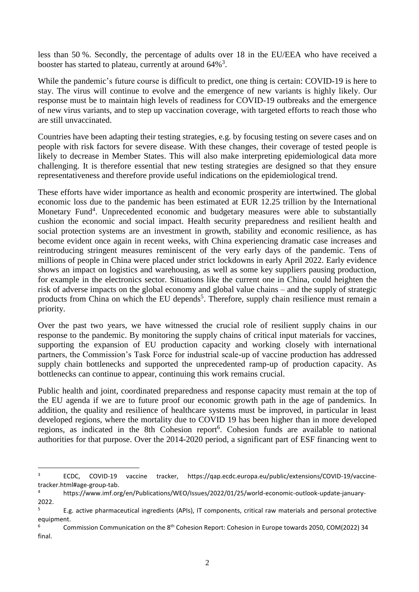less than 50 %. Secondly, the percentage of adults over 18 in the EU/EEA who have received a booster has started to plateau, currently at around  $64\%$ <sup>3</sup>.

While the pandemic's future course is difficult to predict, one thing is certain: COVID-19 is here to stay. The virus will continue to evolve and the emergence of new variants is highly likely. Our response must be to maintain high levels of readiness for COVID-19 outbreaks and the emergence of new virus variants, and to step up vaccination coverage, with targeted efforts to reach those who are still unvaccinated.

Countries have been adapting their testing strategies, e.g. by focusing testing on severe cases and on people with risk factors for severe disease. With these changes, their coverage of tested people is likely to decrease in Member States. This will also make interpreting epidemiological data more challenging. It is therefore essential that new testing strategies are designed so that they ensure representativeness and therefore provide useful indications on the epidemiological trend.

These efforts have wider importance as health and economic prosperity are intertwined. The global economic loss due to the pandemic has been estimated at EUR 12.25 trillion by the International Monetary Fund<sup>4</sup>. Unprecedented economic and budgetary measures were able to substantially cushion the economic and social impact. Health security preparedness and resilient health and social protection systems are an investment in growth, stability and economic resilience, as has become evident once again in recent weeks, with China experiencing dramatic case increases and reintroducing stringent measures reminiscent of the very early days of the pandemic. Tens of millions of people in China were placed under strict lockdowns in early April 2022. Early evidence shows an impact on logistics and warehousing, as well as some key suppliers pausing production, for example in the electronics sector. Situations like the current one in China, could heighten the risk of adverse impacts on the global economy and global value chains – and the supply of strategic products from China on which the EU depends<sup>5</sup>. Therefore, supply chain resilience must remain a priority.

Over the past two years, we have witnessed the crucial role of resilient supply chains in our response to the pandemic. By monitoring the supply chains of critical input materials for vaccines, supporting the expansion of EU production capacity and working closely with international partners, the Commission's Task Force for industrial scale-up of vaccine production has addressed supply chain bottlenecks and supported the unprecedented ramp-up of production capacity. As bottlenecks can continue to appear, continuing this work remains crucial.

Public health and joint, coordinated preparedness and response capacity must remain at the top of the EU agenda if we are to future proof our economic growth path in the age of pandemics. In addition, the quality and resilience of healthcare systems must be improved, in particular in least developed regions, where the mortality due to COVID 19 has been higher than in more developed regions, as indicated in the 8th Cohesion report<sup>6</sup>. Cohesion funds are available to national authorities for that purpose. Over the 2014-2020 period, a significant part of ESF financing went to

<sup>3</sup> ECDC, COVID-19 vaccine tracker, https://qap.ecdc.europa.eu/public/extensions/COVID-19/vaccinetracker.html#age-group-tab.

<sup>4</sup> https://www.imf.org/en/Publications/WEO/Issues/2022/01/25/world-economic-outlook-update-january-2022[.](https://www.imf.org/en/Publications/WEO/Issues/2022/01/25/world-economic-outlook-update-january-2022)

<sup>&</sup>lt;sup>5</sup> E.g. active pharmaceutical ingredients (APIs), IT components, critical raw materials and personal protective equipment.

<sup>6</sup> Commission Communication on the 8th Cohesion Report: Cohesion in Europe towards 2050, COM(2022) 34 final.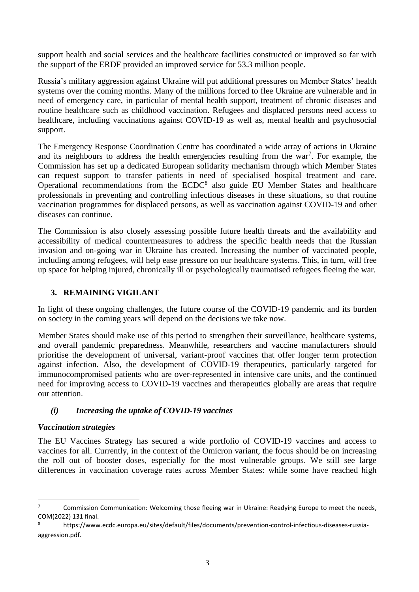support health and social services and the healthcare facilities constructed or improved so far with the support of the ERDF provided an improved service for 53.3 million people.

Russia's military aggression against Ukraine will put additional pressures on Member States' health systems over the coming months. Many of the millions forced to flee Ukraine are vulnerable and in need of emergency care, in particular of mental health support, treatment of chronic diseases and routine healthcare such as childhood vaccination. Refugees and displaced persons need access to healthcare, including vaccinations against COVID-19 as well as, mental health and psychosocial support.

The Emergency Response Coordination Centre has coordinated a wide array of actions in Ukraine and its neighbours to address the health emergencies resulting from the war<sup>7</sup>. For example, the Commission has set up a dedicated European solidarity mechanism through which Member States can request support to transfer patients in need of specialised hospital treatment and care. Operational recommendations from the ECDC<sup>8</sup> also guide EU Member States and healthcare professionals in preventing and controlling infectious diseases in these situations, so that routine vaccination programmes for displaced persons, as well as vaccination against COVID-19 and other diseases can continue.

The Commission is also closely assessing possible future health threats and the availability and accessibility of medical countermeasures to address the specific health needs that the Russian invasion and on-going war in Ukraine has created. Increasing the number of vaccinated people, including among refugees, will help ease pressure on our healthcare systems. This, in turn, will free up space for helping injured, chronically ill or psychologically traumatised refugees fleeing the war.

# **3. REMAINING VIGILANT**

In light of these ongoing challenges, the future course of the COVID-19 pandemic and its burden on society in the coming years will depend on the decisions we take now.

Member States should make use of this period to strengthen their surveillance, healthcare systems, and overall pandemic preparedness. Meanwhile, researchers and vaccine manufacturers should prioritise the development of universal, variant-proof vaccines that offer longer term protection against infection. Also, the development of COVID-19 therapeutics, particularly targeted for immunocompromised patients who are over-represented in intensive care units, and the continued need for improving access to COVID-19 vaccines and therapeutics globally are areas that require our attention.

# *(i) Increasing the uptake of COVID-19 vaccines*

# *Vaccination strategies*

**.** 

The EU Vaccines Strategy has secured a wide portfolio of COVID-19 vaccines and access to vaccines for all. Currently, in the context of the Omicron variant, the focus should be on increasing the roll out of booster doses, especially for the most vulnerable groups. We still see large differences in vaccination coverage rates across Member States: while some have reached high

<sup>&</sup>lt;sup>7</sup> Commission Communication: Welcoming those fleeing war in Ukraine: Readying Europe to meet the needs, COM(2022) 131 final.

<sup>8</sup> https://www.ecdc.europa.eu/sites/default/files/documents/prevention-control-infectious-diseases-russiaaggression.pdf.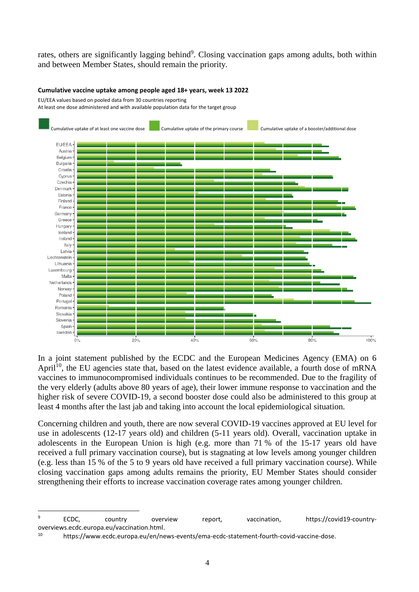rates, others are significantly lagging behind<sup>9</sup>. Closing vaccination gaps among adults, both within and between Member States, should remain the priority.

### **Cumulative vaccine uptake among people aged 18+ years, week 13 2022**

EU/EEA values based on pooled data from 30 countries reporting

At least one dose administered and with available population data for the target group



In a joint statement published by the ECDC and the European Medicines Agency (EMA) on 6 April<sup>10</sup>, the EU agencies state that, based on the latest evidence available, a fourth dose of mRNA vaccines to immunocompromised individuals continues to be recommended. Due to the fragility of the very elderly (adults above 80 years of age), their lower immune response to vaccination and the higher risk of severe COVID-19, a second booster dose could also be administered to this group at least 4 months after the last jab and taking into account the local epidemiological situation.

Concerning children and youth, there are now several COVID-19 vaccines approved at EU level for use in adolescents (12-17 years old) and children (5-11 years old). Overall, vaccination uptake in adolescents in the European Union is high (e.g. more than 71 % of the 15-17 years old have received a full primary vaccination course), but is stagnating at low levels among younger children (e.g. less than 15 % of the 5 to 9 years old have received a full primary vaccination course). While closing vaccination gaps among adults remains the priority, EU Member States should consider strengthening their efforts to increase vaccination coverage rates among younger children.

<sup>9</sup> ECDC, country overview report, vaccination, https://covid19-countryoverviews.ecdc.europa.eu/vaccination.html.

<sup>10</sup> https://www.ecdc.europa.eu/en/news-events/ema-ecdc-statement-fourth-covid-vaccine-dose.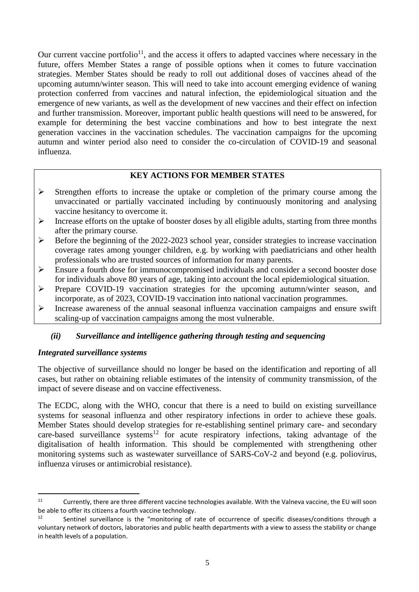Our current vaccine portfolio<sup>11</sup>, and the access it offers to adapted vaccines where necessary in the future, offers Member States a range of possible options when it comes to future vaccination strategies. Member States should be ready to roll out additional doses of vaccines ahead of the upcoming autumn/winter season. This will need to take into account emerging evidence of waning protection conferred from vaccines and natural infection, the epidemiological situation and the emergence of new variants, as well as the development of new vaccines and their effect on infection and further transmission. Moreover, important public health questions will need to be answered, for example for determining the best vaccine combinations and how to best integrate the next generation vaccines in the vaccination schedules. The vaccination campaigns for the upcoming autumn and winter period also need to consider the co-circulation of COVID-19 and seasonal influenza.

### **KEY ACTIONS FOR MEMBER STATES**

- $\triangleright$  Strengthen efforts to increase the uptake or completion of the primary course among the unvaccinated or partially vaccinated including by continuously monitoring and analysing vaccine hesitancy to overcome it.
- $\triangleright$  Increase efforts on the uptake of booster doses by all eligible adults, starting from three months after the primary course.
- $\triangleright$  Before the beginning of the 2022-2023 school year, consider strategies to increase vaccination coverage rates among younger children, e.g. by working with paediatricians and other health professionals who are trusted sources of information for many parents.
- Ensure a fourth dose for immunocompromised individuals and consider a second booster dose for individuals above 80 years of age, taking into account the local epidemiological situation.
- Prepare COVID-19 vaccination strategies for the upcoming autumn/winter season, and incorporate, as of 2023, COVID-19 vaccination into national vaccination programmes.
- $\triangleright$  Increase awareness of the annual seasonal influenza vaccination campaigns and ensure swift scaling-up of vaccination campaigns among the most vulnerable.

# *(ii) Surveillance and intelligence gathering through testing and sequencing*

### *Integrated surveillance systems*

**.** 

The objective of surveillance should no longer be based on the identification and reporting of all cases, but rather on obtaining reliable estimates of the intensity of community transmission, of the impact of severe disease and on vaccine effectiveness.

The ECDC, along with the WHO, concur that there is a need to build on existing surveillance systems for seasonal influenza and other respiratory infections in order to achieve these goals. Member States should develop strategies for re-establishing sentinel primary care- and secondary care-based surveillance systems<sup>12</sup> for acute respiratory infections, taking advantage of the digitalisation of health information. This should be complemented with strengthening other monitoring systems such as wastewater surveillance of SARS-CoV-2 and beyond (e.g. poliovirus, influenza viruses or antimicrobial resistance).

<sup>&</sup>lt;sup>11</sup> Currently, there are three different vaccine technologies available. With the Valneva vaccine, the EU will soon be able to offer its citizens a fourth vaccine technology.

Sentinel surveillance is the "monitoring of rate of occurrence of specific diseases/conditions through a voluntary network of doctors, laboratories and public health departments with a view to assess the stability or change in health levels of a population.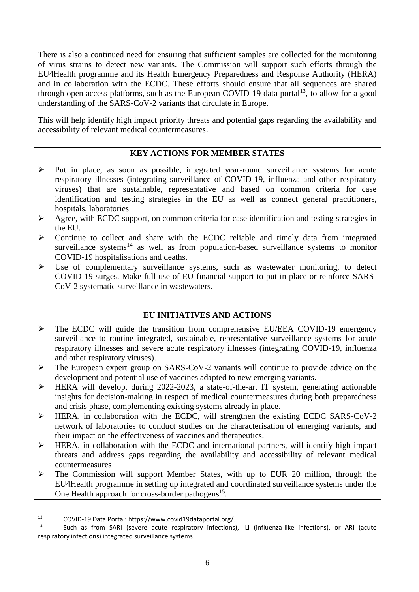There is also a continued need for ensuring that sufficient samples are collected for the monitoring of virus strains to detect new variants. The Commission will support such efforts through the EU4Health programme and its Health Emergency Preparedness and Response Authority (HERA) and in collaboration with the ECDC. These efforts should ensure that all sequences are shared through open access platforms, such as the European COVID-19 data portal  $13$ , to allow for a good understanding of the SARS-CoV-2 variants that circulate in Europe.

This will help identify high impact priority threats and potential gaps regarding the availability and accessibility of relevant medical countermeasures.

### **KEY ACTIONS FOR MEMBER STATES**

- $\triangleright$  Put in place, as soon as possible, integrated year-round surveillance systems for acute respiratory illnesses (integrating surveillance of COVID-19, influenza and other respiratory viruses) that are sustainable, representative and based on common criteria for case identification and testing strategies in the EU as well as connect general practitioners, hospitals, laboratories
- Agree, with ECDC support, on common criteria for case identification and testing strategies in the EU.
- $\triangleright$  Continue to collect and share with the ECDC reliable and timely data from integrated surveillance systems<sup>14</sup> as well as from population-based surveillance systems to monitor COVID-19 hospitalisations and deaths.
- $\triangleright$  Use of complementary surveillance systems, such as wastewater monitoring, to detect COVID-19 surges. Make full use of EU financial support to put in place or reinforce SARS-CoV-2 systematic surveillance in wastewaters.

# **EU INITIATIVES AND ACTIONS**

- $\triangleright$  The ECDC will guide the transition from comprehensive EU/EEA COVID-19 emergency surveillance to routine integrated, sustainable, representative surveillance systems for acute respiratory illnesses and severe acute respiratory illnesses (integrating COVID-19, influenza and other respiratory viruses).
- $\triangleright$  The European expert group on SARS-CoV-2 variants will continue to provide advice on the development and potential use of vaccines adapted to new emerging variants.
- HERA will develop, during 2022-2023, a state-of-the-art IT system, generating actionable insights for decision-making in respect of medical countermeasures during both preparedness and crisis phase, complementing existing systems already in place.
- HERA, in collaboration with the ECDC, will strengthen the existing ECDC SARS-CoV-2 network of laboratories to conduct studies on the characterisation of emerging variants, and their impact on the effectiveness of vaccines and therapeutics.
- $\triangleright$  HERA, in collaboration with the ECDC and international partners, will identify high impact threats and address gaps regarding the availability and accessibility of relevant medical countermeasures
- $\triangleright$  The Commission will support Member States, with up to EUR 20 million, through the EU4Health programme in setting up integrated and coordinated surveillance systems under the One Health approach for cross-border pathogens<sup>15</sup>.

<sup>13</sup> COVID-19 Data Portal: https://www.covid19dataportal.org/.

Such as from SARI (severe acute respiratory infections), ILI (influenza-like infections), or ARI (acute respiratory infections) integrated surveillance systems.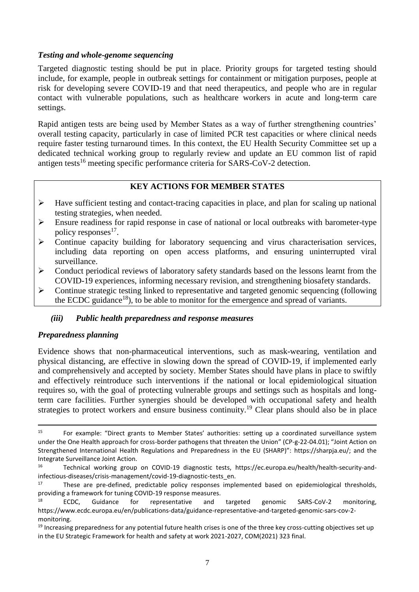# *Testing and whole-genome sequencing*

Targeted diagnostic testing should be put in place. Priority groups for targeted testing should include, for example, people in outbreak settings for containment or mitigation purposes, people at risk for developing severe COVID-19 and that need therapeutics, and people who are in regular contact with vulnerable populations, such as healthcare workers in acute and long-term care settings.

Rapid antigen tests are being used by Member States as a way of further strengthening countries' overall testing capacity, particularly in case of limited PCR test capacities or where clinical needs require faster testing turnaround times. In this context, the EU Health Security Committee set up a dedicated technical working group to regularly review and update an EU common list of rapid antigen tests<sup>16</sup> meeting specific performance criteria for SARS-CoV-2 detection.

# **KEY ACTIONS FOR MEMBER STATES**

- $\triangleright$  Have sufficient testing and contact-tracing capacities in place, and plan for scaling up national testing strategies, when needed.
- $\triangleright$  Ensure readiness for rapid response in case of national or local outbreaks with barometer-type policy responses<sup>17</sup>.
- $\triangleright$  Continue capacity building for laboratory sequencing and virus characterisation services, including data reporting on open access platforms, and ensuring uninterrupted viral surveillance.
- $\triangleright$  Conduct periodical reviews of laboratory safety standards based on the lessons learnt from the COVID-19 experiences, informing necessary revision, and strengthening biosafety standards.
- $\triangleright$  Continue strategic testing linked to representative and targeted genomic sequencing (following the ECDC guidance<sup>18</sup>), to be able to monitor for the emergence and spread of variants.

# *(iii) Public health preparedness and response measures*

### *Preparedness planning*

**.** 

Evidence shows that non-pharmaceutical interventions, such as mask-wearing, ventilation and physical distancing, are effective in slowing down the spread of COVID-19, if implemented early and comprehensively and accepted by society. Member States should have plans in place to swiftly and effectively reintroduce such interventions if the national or local epidemiological situation requires so, with the goal of protecting vulnerable groups and settings such as hospitals and longterm care facilities. Further synergies should be developed with occupational safety and health strategies to protect workers and ensure business continuity.<sup>19</sup> Clear plans should also be in place

<sup>&</sup>lt;sup>15</sup> For example: "Direct grants to Member States' authorities: setting up a coordinated surveillance system under the One Health approach for cross-border pathogens that threaten the Union" (CP-g-22-04.01); "Joint Action on Strengthened International Health Regulations and Preparedness in the EU (SHARP)": https://sharpja.eu/; and the Integrate Surveillance Joint Action.<br>16 Technical working aroun

<sup>16</sup> Technical working group on COVID-19 diagnostic tests, https://ec.europa.eu/health/health-security-andinfectious-diseases/crisis-management/covid-19-diagnostic-tests\_en.

These are pre-defined, predictable policy responses implemented based on epidemiological thresholds, providing a framework for tuning COVID-19 response measures.

<sup>&</sup>lt;sup>18</sup> ECDC, Guidance for representative and targeted genomic SARS-CoV-2 monitoring, https://www.ecdc.europa.eu/en/publications-data/guidance-representative-and-targeted-genomic-sars-cov-2 monitoring.

 $19$  Increasing preparedness for any potential future health crises is one of the three key cross-cutting objectives set up in the EU Strategic Framework for health and safety at work 2021-2027, COM(2021) 323 final.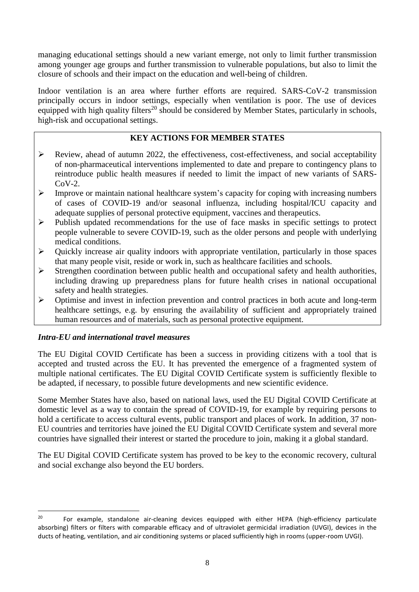managing educational settings should a new variant emerge, not only to limit further transmission among younger age groups and further transmission to vulnerable populations, but also to limit the closure of schools and their impact on the education and well-being of children.

Indoor ventilation is an area where further efforts are required. SARS-CoV-2 transmission principally occurs in indoor settings, especially when ventilation is poor. The use of devices equipped with high quality filters<sup>20</sup> should be considered by Member States, particularly in schools, high-risk and occupational settings.

# **KEY ACTIONS FOR MEMBER STATES**

- $\triangleright$  Review, ahead of autumn 2022, the effectiveness, cost-effectiveness, and social acceptability of non-pharmaceutical interventions implemented to date and prepare to contingency plans to reintroduce public health measures if needed to limit the impact of new variants of SARS- $CoV-2$ .
- Improve or maintain national healthcare system's capacity for coping with increasing numbers of cases of COVID-19 and/or seasonal influenza, including hospital/ICU capacity and adequate supplies of personal protective equipment, vaccines and therapeutics.
- $\triangleright$  Publish updated recommendations for the use of face masks in specific settings to protect people vulnerable to severe COVID-19, such as the older persons and people with underlying medical conditions.
- $\triangleright$  Ouickly increase air quality indoors with appropriate ventilation, particularly in those spaces that many people visit, reside or work in, such as healthcare facilities and schools.
- $\triangleright$  Strengthen coordination between public health and occupational safety and health authorities, including drawing up preparedness plans for future health crises in national occupational safety and health strategies.
- $\triangleright$  Optimise and invest in infection prevention and control practices in both acute and long-term healthcare settings, e.g. by ensuring the availability of sufficient and appropriately trained human resources and of materials, such as personal protective equipment.

# *Intra-EU and international travel measures*

1

The EU Digital COVID Certificate has been a success in providing citizens with a tool that is accepted and trusted across the EU. It has prevented the emergence of a fragmented system of multiple national certificates. The EU Digital COVID Certificate system is sufficiently flexible to be adapted, if necessary, to possible future developments and new scientific evidence.

Some Member States have also, based on national laws, used the EU Digital COVID Certificate at domestic level as a way to contain the spread of COVID-19, for example by requiring persons to hold a certificate to access cultural events, public transport and places of work. In addition, 37 non-EU countries and territories have joined the EU Digital COVID Certificate system and several more countries have signalled their interest or started the procedure to join, making it a global standard.

The EU Digital COVID Certificate system has proved to be key to the economic recovery, cultural and social exchange also beyond the EU borders.

<sup>20</sup> For example, standalone air-cleaning devices equipped with either HEPA (high-efficiency particulate absorbing) filters or filters with comparable efficacy and of ultraviolet germicidal irradiation (UVGI), devices in the ducts of heating, ventilation, and air conditioning systems or placed sufficiently high in rooms (upper-room UVGI).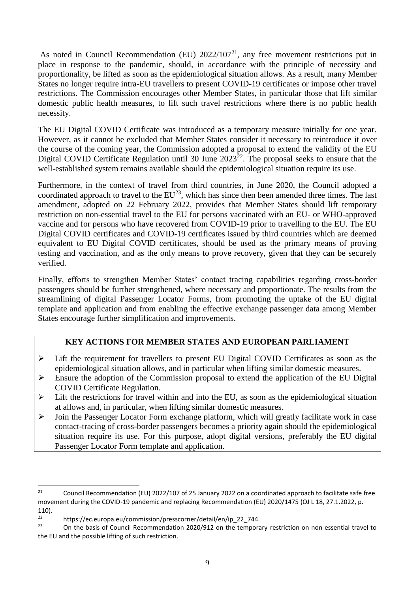As noted in Council Recommendation (EU)  $2022/107<sup>21</sup>$ , any free movement restrictions put in place in response to the pandemic, should, in accordance with the principle of necessity and proportionality, be lifted as soon as the epidemiological situation allows. As a result, many Member States no longer require intra-EU travellers to present COVID-19 certificates or impose other travel restrictions. The Commission encourages other Member States, in particular those that lift similar domestic public health measures, to lift such travel restrictions where there is no public health necessity.

The EU Digital COVID Certificate was introduced as a temporary measure initially for one year. However, as it cannot be excluded that Member States consider it necessary to reintroduce it over the course of the coming year, the Commission adopted a proposal to extend the validity of the EU Digital COVID Certificate Regulation until 30 June  $2023^{22}$ . The proposal seeks to ensure that the well-established system remains available should the epidemiological situation require its use.

Furthermore, in the context of travel from third countries, in June 2020, the Council adopted a coordinated approach to travel to the  $EU^{23}$ , which has since then been amended three times. The last amendment, adopted on 22 February 2022, provides that Member States should lift temporary restriction on non-essential travel to the EU for persons vaccinated with an EU- or WHO-approved vaccine and for persons who have recovered from COVID-19 prior to travelling to the EU. The EU Digital COVID certificates and COVID-19 certificates issued by third countries which are deemed equivalent to EU Digital COVID certificates, should be used as the primary means of proving testing and vaccination, and as the only means to prove recovery, given that they can be securely verified.

Finally, efforts to strengthen Member States' contact tracing capabilities regarding cross-border passengers should be further strengthened, where necessary and proportionate. The results from the streamlining of digital Passenger Locator Forms, from promoting the uptake of the EU digital template and application and from enabling the effective exchange passenger data among Member States encourage further simplification and improvements.

# **KEY ACTIONS FOR MEMBER STATES AND EUROPEAN PARLIAMENT**

- $\triangleright$  Lift the requirement for travellers to present EU Digital COVID Certificates as soon as the epidemiological situation allows, and in particular when lifting similar domestic measures.
- $\triangleright$  Ensure the adoption of the Commission proposal to extend the application of the EU Digital COVID Certificate Regulation.
- $\triangleright$  Lift the restrictions for travel within and into the EU, as soon as the epidemiological situation at allows and, in particular, when lifting similar domestic measures.
- $\triangleright$  Join the Passenger Locator Form exchange platform, which will greatly facilitate work in case contact-tracing of cross-border passengers becomes a priority again should the epidemiological situation require its use. For this purpose, adopt digital versions, preferably the EU digital Passenger Locator Form template and application.

<sup>&</sup>lt;sup>21</sup> Council Recommendation (EU) 2022/107 of 25 January 2022 on a coordinated approach to facilitate safe free movement during the COVID-19 pandemic and replacing Recommendation (EU) 2020/1475 (OJ L 18, 27.1.2022, p.  $110$ ).

<sup>22</sup> https://ec.europa.eu/commission/presscorner/detail/en/ip\_22\_744.<br>23 On the besis of Council Becommondation 2020/012 on the termography

<sup>23</sup> On the basis of Council Recommendation 2020/912 on the temporary restriction on non-essential travel to the EU and the possible lifting of such restriction.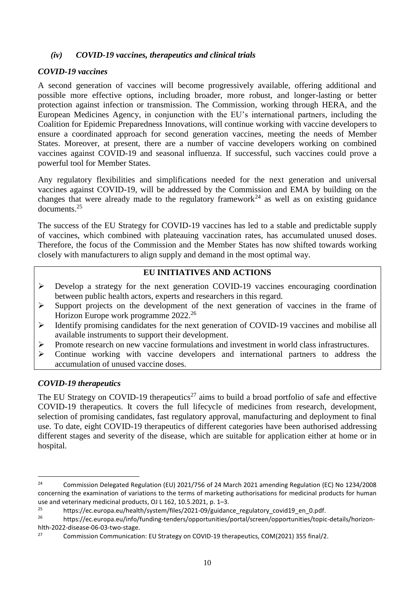# *(iv) COVID-19 vaccines, therapeutics and clinical trials*

### *COVID-19 vaccines*

A second generation of vaccines will become progressively available, offering additional and possible more effective options, including broader, more robust, and longer-lasting or better protection against infection or transmission. The Commission, working through HERA, and the European Medicines Agency, in conjunction with the EU's international partners, including the Coalition for Epidemic Preparedness Innovations, will continue working with vaccine developers to ensure a coordinated approach for second generation vaccines, meeting the needs of Member States. Moreover, at present, there are a number of vaccine developers working on combined vaccines against COVID-19 and seasonal influenza. If successful, such vaccines could prove a powerful tool for Member States.

Any regulatory flexibilities and simplifications needed for the next generation and universal vaccines against COVID-19, will be addressed by the Commission and EMA by building on the changes that were already made to the regulatory framework<sup>24</sup> as well as on existing guidance documents.<sup>25</sup>

The success of the EU Strategy for COVID-19 vaccines has led to a stable and predictable supply of vaccines, which combined with plateauing vaccination rates, has accumulated unused doses. Therefore, the focus of the Commission and the Member States has now shifted towards working closely with manufacturers to align supply and demand in the most optimal way.

# **EU INITIATIVES AND ACTIONS**

- Develop a strategy for the next generation COVID-19 vaccines encouraging coordination between public health actors, experts and researchers in this regard.
- $\triangleright$  Support projects on the development of the next generation of vaccines in the frame of Horizon Europe work programme 2022.<sup>26</sup>
- Identify promising candidates for the next generation of COVID-19 vaccines and mobilise all available instruments to support their development.
- Promote research on new vaccine formulations and investment in world class infrastructures.
- Continue working with vaccine developers and international partners to address the accumulation of unused vaccine doses.

# *COVID-19 therapeutics*

**.** 

The EU Strategy on COVID-19 therapeutics<sup>27</sup> aims to build a broad portfolio of safe and effective COVID-19 therapeutics. It covers the full lifecycle of medicines from research, development, selection of promising candidates, fast regulatory approval, manufacturing and deployment to final use. To date, eight COVID-19 therapeutics of different categories have been authorised addressing different stages and severity of the disease, which are suitable for application either at home or in hospital.

<sup>&</sup>lt;sup>24</sup> Commission Delegated Regulation (EU) 2021/756 of 24 March 2021 amending Regulation (EC) No 1234/2008 concerning the examination of variations to the terms of marketing authorisations for medicinal products for human use and veterinary medicinal products, OJ L 162, 10.5.2021, p. 1–3.

<sup>&</sup>lt;sup>25</sup> https://ec.europa.eu/health/system/files/2021-09/guidance\_regulatory\_covid19\_en\_0.pdf.

<sup>26</sup> https://ec.europa.eu/info/funding-tenders/opportunities/portal/screen/opportunities/topic-details/horizonhlth-2022-disease-06-03-two-stage.

<sup>27</sup> Commission Communication: EU Strategy on COVID-19 therapeutics, COM(2021) 355 final/2.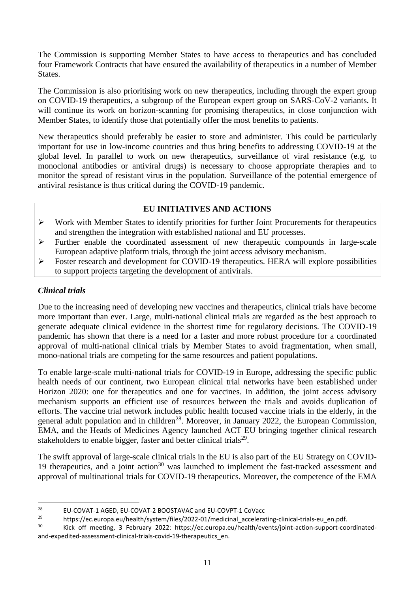The Commission is supporting Member States to have access to therapeutics and has concluded four Framework Contracts that have ensured the availability of therapeutics in a number of Member States.

The Commission is also prioritising work on new therapeutics, including through the expert group on COVID-19 therapeutics, a subgroup of the European expert group on SARS-CoV-2 variants. It will continue its work on horizon-scanning for promising therapeutics, in close conjunction with Member States, to identify those that potentially offer the most benefits to patients.

New therapeutics should preferably be easier to store and administer. This could be particularly important for use in low-income countries and thus bring benefits to addressing COVID-19 at the global level. In parallel to work on new therapeutics, surveillance of viral resistance (e.g. to monoclonal antibodies or antiviral drugs) is necessary to choose appropriate therapies and to monitor the spread of resistant virus in the population. Surveillance of the potential emergence of antiviral resistance is thus critical during the COVID-19 pandemic.

# **EU INITIATIVES AND ACTIONS**

- $\triangleright$  Work with Member States to identify priorities for further Joint Procurements for therapeutics and strengthen the integration with established national and EU processes.
- $\triangleright$  Further enable the coordinated assessment of new therapeutic compounds in large-scale European adaptive platform trials, through the joint access advisory mechanism.
- $\triangleright$  Foster research and development for COVID-19 therapeutics. HERA will explore possibilities to support projects targeting the development of antivirals.

# *Clinical trials*

**.** 

Due to the increasing need of developing new vaccines and therapeutics, clinical trials have become more important than ever. Large, multi-national clinical trials are regarded as the best approach to generate adequate clinical evidence in the shortest time for regulatory decisions. The COVID-19 pandemic has shown that there is a need for a faster and more robust procedure for a coordinated approval of multi-national clinical trials by Member States to avoid fragmentation, when small, mono-national trials are competing for the same resources and patient populations.

To enable large-scale multi-national trials for COVID-19 in Europe, addressing the specific public health needs of our continent, two European clinical trial networks have been established under Horizon 2020: one for therapeutics and one for vaccines. In addition, the joint access advisory mechanism supports an efficient use of resources between the trials and avoids duplication of efforts. The vaccine trial network includes public health focused vaccine trials in the elderly, in the general adult population and in children<sup>28</sup>. Moreover, in January 2022, the European Commission, EMA, and the Heads of Medicines Agency launched ACT EU bringing together clinical research stakeholders to enable bigger, faster and better clinical trials $^{29}$ .

The swift approval of large-scale clinical trials in the EU is also part of the EU Strategy on COVID-19 therapeutics, and a joint action<sup>30</sup> was launched to implement the fast-tracked assessment and approval of multinational trials for COVID-19 therapeutics. Moreover, the competence of the EMA

<sup>&</sup>lt;sup>28</sup> EU-COVAT-1 AGED, EU-COVAT-2 BOOSTAVAC and EU-COVPT-1 CoVacc

<sup>29</sup> https://ec.europa.eu/health/system/files/2022-01/medicinal\_accelerating-clinical-trials-eu\_en.pdf.<br>2023: https://ec.europa.eu/health/system/files/2022-01/medicinal\_accelerating-clinical-trials-eu\_en.pdf.

<sup>30</sup> Kick off meeting, 3 February 2022: https://ec.europa.eu/health/events/joint-action-support-coordinatedand-expedited-assessment-clinical-trials-covid-19-therapeutics\_en.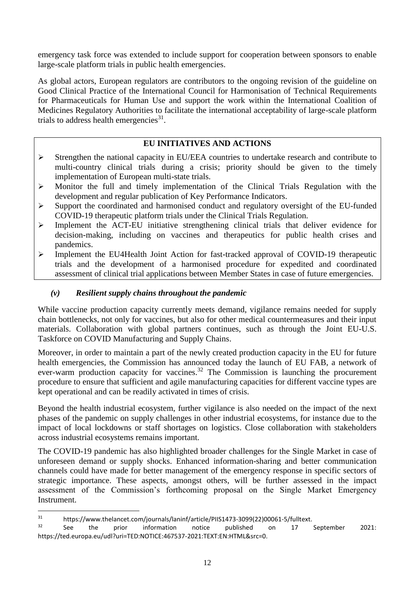emergency task force was extended to include support for cooperation between sponsors to enable large-scale platform trials in public health emergencies.

As global actors, European regulators are contributors to the ongoing revision of the guideline on Good Clinical Practice of the International Council for Harmonisation of Technical Requirements for Pharmaceuticals for Human Use and support the work within the International Coalition of Medicines Regulatory Authorities to facilitate the international acceptability of large-scale platform trials to address health emergencies $31$ .

# **EU INITIATIVES AND ACTIONS**

- Strengthen the national capacity in EU/EEA countries to undertake research and contribute to multi-country clinical trials during a crisis; priority should be given to the timely implementation of European multi-state trials.
- $\triangleright$  Monitor the full and timely implementation of the Clinical Trials Regulation with the development and regular publication of Key Performance Indicators.
- $\triangleright$  Support the coordinated and harmonised conduct and regulatory oversight of the EU-funded COVID-19 therapeutic platform trials under the Clinical Trials Regulation.
- $\triangleright$  Implement the ACT-EU initiative strengthening clinical trials that deliver evidence for decision-making, including on vaccines and therapeutics for public health crises and pandemics.
- $\triangleright$  Implement the EU4Health Joint Action for fast-tracked approval of COVID-19 therapeutic trials and the development of a harmonised procedure for expedited and coordinated assessment of clinical trial applications between Member States in case of future emergencies.

# *(v) Resilient supply chains throughout the pandemic*

While vaccine production capacity currently meets demand, vigilance remains needed for supply chain bottlenecks, not only for vaccines, but also for other medical countermeasures and their input materials. Collaboration with global partners continues, such as through the Joint EU-U.S. Taskforce on COVID Manufacturing and Supply Chains.

Moreover, in order to maintain a part of the newly created production capacity in the EU for future health emergencies, the Commission has announced today the launch of EU FAB, a network of ever-warm production capacity for vaccines.<sup>32</sup> The Commission is launching the procurement procedure to ensure that sufficient and agile manufacturing capacities for different vaccine types are kept operational and can be readily activated in times of crisis.

Beyond the health industrial ecosystem, further vigilance is also needed on the impact of the next phases of the pandemic on supply challenges in other industrial ecosystems, for instance due to the impact of local lockdowns or staff shortages on logistics. Close collaboration with stakeholders across industrial ecosystems remains important.

The COVID-19 pandemic has also highlighted broader challenges for the Single Market in case of unforeseen demand or supply shocks. Enhanced information-sharing and better communication channels could have made for better management of the emergency response in specific sectors of strategic importance. These aspects, amongst others, will be further assessed in the impact assessment of the Commission's forthcoming proposal on the Single Market Emergency **Instrument** 

<sup>&</sup>lt;sup>31</sup> https://www.thelancet.com/journals/laninf/article/PIIS1473-3099(22)00061-5/fulltext.

 $32$  See the prior information notice published on 17 September 2021: https://ted.europa.eu/udl?uri=TED:NOTICE:467537-2021:TEXT:EN:HTML&src=0.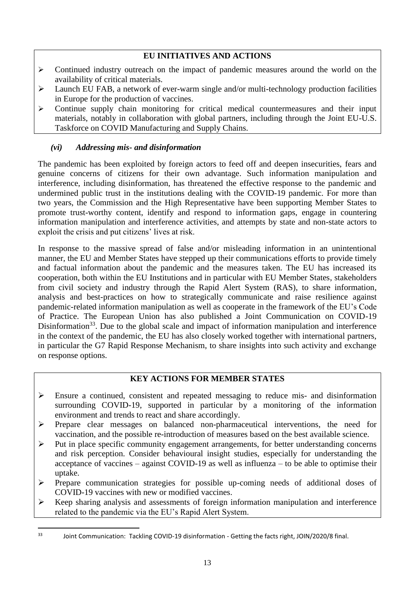# **EU INITIATIVES AND ACTIONS**

- $\triangleright$  Continued industry outreach on the impact of pandemic measures around the world on the availability of critical materials.
- $\triangleright$  Launch EU FAB, a network of ever-warm single and/or multi-technology production facilities in Europe for the production of vaccines.
- $\triangleright$  Continue supply chain monitoring for critical medical countermeasures and their input materials, notably in collaboration with global partners, including through the Joint EU-U.S. Taskforce on COVID Manufacturing and Supply Chains.

# *(vi) Addressing mis- and disinformation*

The pandemic has been exploited by foreign actors to feed off and deepen insecurities, fears and genuine concerns of citizens for their own advantage. Such information manipulation and interference, including disinformation, has threatened the effective response to the pandemic and undermined public trust in the institutions dealing with the COVID-19 pandemic. For more than two years, the Commission and the High Representative have been supporting Member States to promote trust-worthy content, identify and respond to information gaps, engage in countering information manipulation and interference activities, and attempts by state and non-state actors to exploit the crisis and put citizens' lives at risk.

In response to the massive spread of false and/or misleading information in an unintentional manner, the EU and Member States have stepped up their communications efforts to provide timely and factual information about the pandemic and the measures taken. The EU has increased its cooperation, both within the EU Institutions and in particular with EU Member States, stakeholders from civil society and industry through the Rapid Alert System (RAS), to share information, analysis and best-practices on how to strategically communicate and raise resilience against pandemic-related information manipulation as well as cooperate in the framework of the EU's Code of Practice. The European Union has also published a Joint Communication on COVID-19 Disinformation<sup>33</sup>. Due to the global scale and impact of information manipulation and interference in the context of the pandemic, the EU has also closely worked together with international partners, in particular the G7 Rapid Response Mechanism, to share insights into such activity and exchange on response options.

# **KEY ACTIONS FOR MEMBER STATES**

- Ensure a continued, consistent and repeated messaging to reduce mis- and disinformation surrounding COVID-19, supported in particular by a monitoring of the information environment and trends to react and share accordingly.
- Prepare clear messages on balanced non-pharmaceutical interventions, the need for vaccination, and the possible re-introduction of measures based on the best available science.
- $\triangleright$  Put in place specific community engagement arrangements, for better understanding concerns and risk perception. Consider behavioural insight studies, especially for understanding the acceptance of vaccines – against COVID-19 as well as influenza – to be able to optimise their uptake.
- Prepare communication strategies for possible up-coming needs of additional doses of COVID-19 vaccines with new or modified vaccines.
- $\triangleright$  Keep sharing analysis and assessments of foreign information manipulation and interference related to the pandemic via the EU's Rapid Alert System.

 $33<sup>3</sup>$ Joint Communication: Tackling COVID-19 disinformation - Getting the facts right, JOIN/2020/8 final.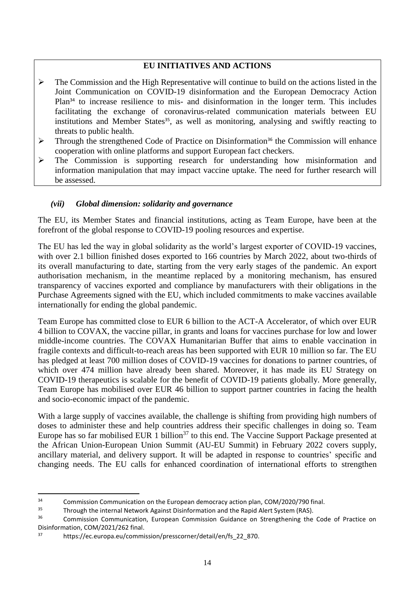# **EU INITIATIVES AND ACTIONS**

- $\triangleright$  The Commission and the High Representative will continue to build on the actions listed in the Joint Communication on COVID-19 disinformation and the European Democracy Action Plan<sup>34</sup> to increase resilience to mis- and disinformation in the longer term. This includes facilitating the exchange of coronavirus-related communication materials between EU institutions and Member States<sup>35</sup>, as well as monitoring, analysing and swiftly reacting to threats to public health.
- $\triangleright$  Through the strengthened Code of Practice on Disinformation<sup>36</sup> the Commission will enhance cooperation with online platforms and support European fact checkers.
- The Commission is supporting research for understanding how misinformation and information manipulation that may impact vaccine uptake. The need for further research will be assessed.

# *(vii) Global dimension: solidarity and governance*

The EU, its Member States and financial institutions, acting as Team Europe, have been at the forefront of the global response to COVID-19 pooling resources and expertise.

The EU has led the way in global solidarity as the world's largest exporter of COVID-19 vaccines, with over 2.1 billion finished doses exported to 166 countries by March 2022, about two-thirds of its overall manufacturing to date, starting from the very early stages of the pandemic. An export authorisation mechanism, in the meantime replaced by a monitoring mechanism, has ensured transparency of vaccines exported and compliance by manufacturers with their obligations in the Purchase Agreements signed with the EU, which included commitments to make vaccines available internationally for ending the global pandemic.

Team Europe has committed close to EUR 6 billion to the ACT-A Accelerator, of which over EUR 4 billion to COVAX, the vaccine pillar, in grants and loans for vaccines purchase for low and lower middle-income countries. The COVAX Humanitarian Buffer that aims to enable vaccination in fragile contexts and difficult-to-reach areas has been supported with EUR 10 million so far. The EU has pledged at least 700 million doses of COVID-19 vaccines for donations to partner countries, of which over 474 million have already been shared. Moreover, it has made its EU Strategy on COVID-19 therapeutics is scalable for the benefit of COVID-19 patients globally. More generally, Team Europe has mobilised over EUR 46 billion to support partner countries in facing the health and socio-economic impact of the pandemic.

With a large supply of vaccines available, the challenge is shifting from providing high numbers of doses to administer these and help countries address their specific challenges in doing so. Team Europe has so far mobilised EUR 1 billion<sup>37</sup> to this end. The Vaccine Support Package presented at the African Union-European Union Summit (AU-EU Summit) in February 2022 covers supply, ancillary material, and delivery support. It will be adapted in response to countries' specific and changing needs. The EU calls for enhanced coordination of international efforts to strengthen

<sup>&</sup>lt;sup>34</sup> Commission Communication on the European democracy action plan, COM/2020/790 final.<br><sup>35</sup> Through the internal Network Against Disinformation and the Papid Alert System (PAS)

<sup>&</sup>lt;sup>35</sup> Through the internal Network Against Disinformation and the Rapid Alert System (RAS).<br><sup>36</sup> Commission Communication European Commission Cuidence an Streagthering the

<sup>36</sup> Commission Communication, European Commission Guidance on Strengthening the Code of Practice on Disinformation, COM/2021/262 final.

https://ec.europa.eu/commission/presscorner/detail/en/fs\_22\_870.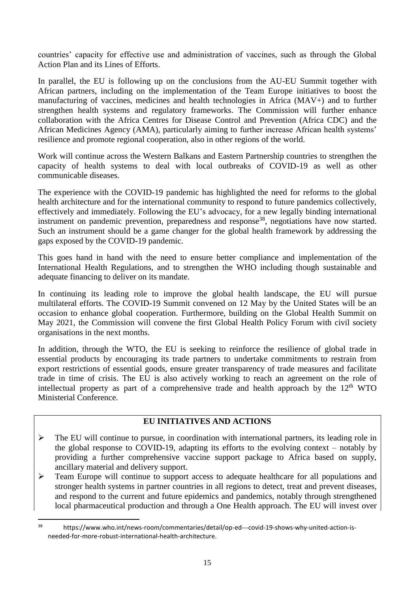countries' capacity for effective use and administration of vaccines, such as through the Global Action Plan and its Lines of Efforts.

In parallel, the EU is following up on the conclusions from the AU-EU Summit together with African partners, including on the implementation of the Team Europe initiatives to boost the manufacturing of vaccines, medicines and health technologies in Africa (MAV+) and to further strengthen health systems and regulatory frameworks. The Commission will further enhance collaboration with the Africa Centres for Disease Control and Prevention (Africa CDC) and the African Medicines Agency (AMA), particularly aiming to further increase African health systems' resilience and promote regional cooperation, also in other regions of the world.

Work will continue across the Western Balkans and Eastern Partnership countries to strengthen the capacity of health systems to deal with local outbreaks of COVID-19 as well as other communicable diseases.

The experience with the COVID-19 pandemic has highlighted the need for reforms to the global health architecture and for the international community to respond to future pandemics collectively, effectively and immediately. Following the EU's advocacy, for a new legally binding international instrument on pandemic prevention, preparedness and response<sup>38</sup>, negotiations have now started. Such an instrument should be a game changer for the global health framework by addressing the gaps exposed by the COVID-19 pandemic.

This goes hand in hand with the need to ensure better compliance and implementation of the International Health Regulations, and to strengthen the WHO including though sustainable and adequate financing to deliver on its mandate.

In continuing its leading role to improve the global health landscape, the EU will pursue multilateral efforts. The COVID-19 Summit convened on 12 May by the United States will be an occasion to enhance global cooperation. Furthermore, building on the Global Health Summit on May 2021, the Commission will convene the first Global Health Policy Forum with civil society organisations in the next months.

In addition, through the WTO, the EU is seeking to reinforce the resilience of global trade in essential products by encouraging its trade partners to undertake commitments to restrain from export restrictions of essential goods, ensure greater transparency of trade measures and facilitate trade in time of crisis. The EU is also actively working to reach an agreement on the role of intellectual property as part of a comprehensive trade and health approach by the  $12<sup>th</sup>$  WTO Ministerial Conference.

# **EU INITIATIVES AND ACTIONS**

- $\triangleright$  The EU will continue to pursue, in coordination with international partners, its leading role in the global response to COVID-19, adapting its efforts to the evolving context – notably by providing a further comprehensive vaccine support package to Africa based on supply, ancillary material and delivery support.
- $\triangleright$  Team Europe will continue to support access to adequate healthcare for all populations and stronger health systems in partner countries in all regions to detect, treat and prevent diseases, and respond to the current and future epidemics and pandemics, notably through strengthened local pharmaceutical production and through a One Health approach. The EU will invest over

<sup>38</sup> https://www.who.int/news-room/commentaries/detail/op-ed---covid-19-shows-why-united-action-isneeded-for-more-robust-international-health-architecture.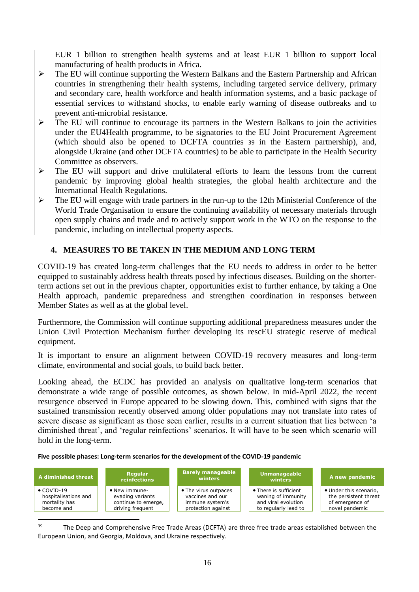EUR 1 billion to strengthen health systems and at least EUR 1 billion to support local manufacturing of health products in Africa.

- $\triangleright$  The EU will continue supporting the Western Balkans and the Eastern Partnership and African countries in strengthening their health systems, including targeted service delivery, primary and secondary care, health workforce and health information systems, and a basic package of essential services to withstand shocks, to enable early warning of disease outbreaks and to prevent anti-microbial resistance.
- $\triangleright$  The EU will continue to encourage its partners in the Western Balkans to join the activities under the EU4Health programme, to be signatories to the EU Joint Procurement Agreement (which should also be opened to DCFTA countries 39 in the Eastern partnership), and, alongside Ukraine (and other DCFTA countries) to be able to participate in the Health Security Committee as observers.
- $\triangleright$  The EU will support and drive multilateral efforts to learn the lessons from the current pandemic by improving global health strategies, the global health architecture and the International Health Regulations.
- $\triangleright$  The EU will engage with trade partners in the run-up to the 12th Ministerial Conference of the World Trade Organisation to ensure the continuing availability of necessary materials through open supply chains and trade and to actively support work in the WTO on the response to the pandemic, including on intellectual property aspects.

# **4. MEASURES TO BE TAKEN IN THE MEDIUM AND LONG TERM**

COVID-19 has created long-term challenges that the EU needs to address in order to be better equipped to sustainably address health threats posed by infectious diseases. Building on the shorterterm actions set out in the previous chapter, opportunities exist to further enhance, by taking a One Health approach, pandemic preparedness and strengthen coordination in responses between Member States as well as at the global level.

Furthermore, the Commission will continue supporting additional preparedness measures under the Union Civil Protection Mechanism further developing its rescEU strategic reserve of medical equipment.

It is important to ensure an alignment between COVID-19 recovery measures and long-term climate, environmental and social goals, to build back better.

Looking ahead, the ECDC has provided an analysis on qualitative long-term scenarios that demonstrate a wide range of possible outcomes, as shown below. In mid-April 2022, the recent resurgence observed in Europe appeared to be slowing down. This, combined with signs that the sustained transmission recently observed among older populations may not translate into rates of severe disease as significant as those seen earlier, results in a current situation that lies between 'a diminished threat', and 'regular reinfections' scenarios. It will have to be seen which scenario will hold in the long-term.

### **Five possible phases: Long-term scenarios for the development of the COVID-19 pandemic**

| A diminished threat  | Regular<br><b>reinfections</b> | <b>Barely manageable</b><br>winters | <b>Unmanageable</b><br>winters | A new pandemic         |
|----------------------|--------------------------------|-------------------------------------|--------------------------------|------------------------|
| $\bullet$ COVID-19   | • New immune-                  | • The virus outpaces                | • There is sufficient          | • Under this scenario, |
| hospitalisations and | evading variants               | vaccines and our                    | waning of immunity             | the persistent threat  |
| mortality has        | continue to emerge,            | immune system's                     | and viral evolution            | of emergence of        |
| become and           | driving frequent               | protection against                  | to regularly lead to           | novel pandemic         |

<sup>&</sup>lt;sup>39</sup> The Deep and Comprehensive Free Trade Areas (DCFTA) are three free trade areas established between the European Union, and Georgia, Moldova, and Ukraine respectively.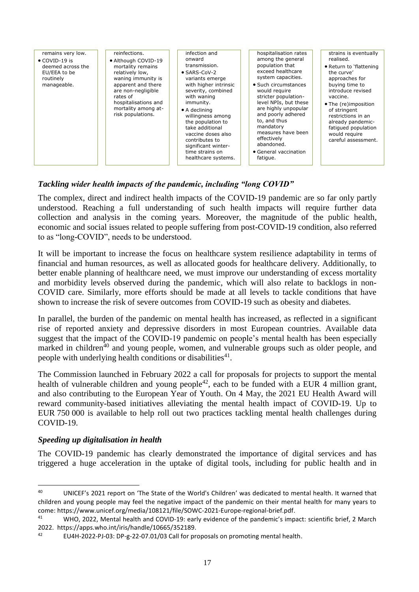| remains very low.<br>$\bullet$ COVID-19 is<br>deemed across the<br>EU/EEA to be<br>routinely<br>manageable. | reinfections.<br>· Although COVID-19<br>mortality remains<br>relatively low,<br>waning immunity is<br>apparent and there<br>are non-negligible<br>rates of<br>hospitalisations and<br>mortality among at-<br>risk populations. | infection and<br>onward<br>transmission.<br>$\bullet$ SARS-CoV-2<br>variants emerge<br>with higher intrinsic<br>severity, combined<br>with waning<br>immunity.<br>$\bullet$ A declining<br>willingness among<br>the population to<br>take additional<br>vaccine doses also<br>contributes to<br>significant winter-<br>time strains on<br>healthcare systems. | hospitalisation rates<br>among the general<br>population that<br>exceed healthcare<br>system capacities.<br>• Such circumstances<br>would require<br>stricter population-<br>level NPIs, but these<br>are highly unpopular<br>and poorly adhered<br>to, and thus<br>mandatory<br>measures have been<br>effectively<br>abandoned.<br>• General vaccination<br>fatique. | strains is eventually<br>realised.<br>• Return to 'flattening<br>the curve'<br>approaches for<br>buying time to<br>introduce revised<br>vaccine.<br>• The (re)imposition<br>of stringent<br>restrictions in an<br>already pandemic-<br>fatiqued population<br>would require<br>careful assessment. |
|-------------------------------------------------------------------------------------------------------------|--------------------------------------------------------------------------------------------------------------------------------------------------------------------------------------------------------------------------------|---------------------------------------------------------------------------------------------------------------------------------------------------------------------------------------------------------------------------------------------------------------------------------------------------------------------------------------------------------------|-----------------------------------------------------------------------------------------------------------------------------------------------------------------------------------------------------------------------------------------------------------------------------------------------------------------------------------------------------------------------|----------------------------------------------------------------------------------------------------------------------------------------------------------------------------------------------------------------------------------------------------------------------------------------------------|
|-------------------------------------------------------------------------------------------------------------|--------------------------------------------------------------------------------------------------------------------------------------------------------------------------------------------------------------------------------|---------------------------------------------------------------------------------------------------------------------------------------------------------------------------------------------------------------------------------------------------------------------------------------------------------------------------------------------------------------|-----------------------------------------------------------------------------------------------------------------------------------------------------------------------------------------------------------------------------------------------------------------------------------------------------------------------------------------------------------------------|----------------------------------------------------------------------------------------------------------------------------------------------------------------------------------------------------------------------------------------------------------------------------------------------------|

# *Tackling wider health impacts of the pandemic, including "long COVID"*

The complex, direct and indirect health impacts of the COVID-19 pandemic are so far only partly understood. Reaching a full understanding of such health impacts will require further data collection and analysis in the coming years. Moreover, the magnitude of the public health, economic and social issues related to people suffering from post-COVID-19 condition, also referred to as "long-COVID", needs to be understood.

It will be important to increase the focus on healthcare system resilience adaptability in terms of financial and human resources, as well as allocated goods for healthcare delivery. Additionally, to better enable planning of healthcare need, we must improve our understanding of excess mortality and morbidity levels observed during the pandemic, which will also relate to backlogs in non-COVID care. Similarly, more efforts should be made at all levels to tackle conditions that have shown to increase the risk of severe outcomes from COVID-19 such as obesity and diabetes.

In parallel, the burden of the pandemic on mental health has increased, as reflected in a significant rise of reported anxiety and depressive disorders in most European countries. Available data suggest that the impact of the COVID-19 pandemic on people's mental health has been especially marked in children<sup> $40$ </sup> and young people, women, and vulnerable groups such as older people, and people with underlying health conditions or disabilities $41$ .

The Commission launched in February 2022 a call for proposals for projects to support the mental health of vulnerable children and young people<sup>42</sup>, each to be funded with a EUR 4 million grant, and also contributing to the European Year of Youth. On 4 May, the 2021 EU Health Award will reward community-based initiatives alleviating the mental health impact of COVID-19. Up to EUR 750 000 is available to help roll out two practices tackling mental health challenges during COVID-19.

# *Speeding up digitalisation in health*

**.** 

The COVID-19 pandemic has clearly demonstrated the importance of digital services and has triggered a huge acceleration in the uptake of digital tools, including for public health and in

<sup>40</sup> UNICEF's 2021 report on 'The State of the World's Children' was dedicated to mental health. It warned that children and young people may feel the negative impact of the pandemic on their mental health for many years to come: https://www.unicef.org/media/108121/file/SOWC-2021-Europe-regional-brief.pdf.

<sup>41</sup> WHO, 2022, Mental health and COVID-19: early evidence of the pandemic's impact: scientific brief, 2 March 2022. https://apps.who.int/iris/handle/10665/352189.

<sup>42</sup> EU4H-2022-PJ-03: DP-g-22-07.01/03 Call for proposals on promoting mental health.